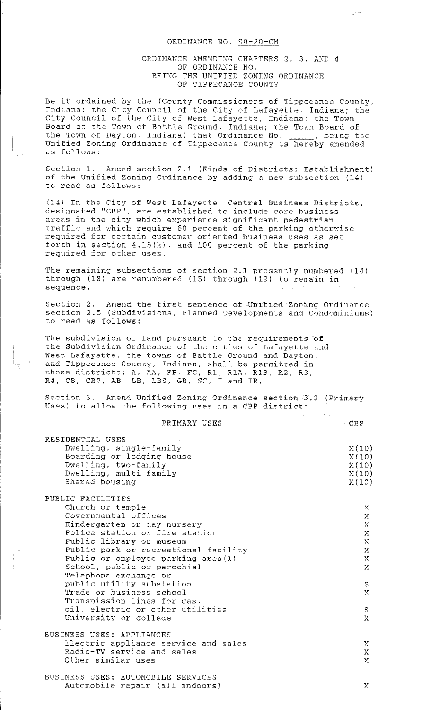## ORDINANCE NO. 90-20-CM

## ORDINANCE AMENDING CHAPTERS 2, 3, AND 4 OF ORDINANCE NO. BEING THE UNIFIED ZONING ORDINANCE OF TIPPECANOE COUNTY

ميرا

Be it ordained by the (County Commissioners of Tippecanoe County, Indiana; the City Council of the City of Lafayette, Indiana; the City Council of the City of West Lafayette, Indiana; the Town Board of the Town of Battle Ground, Indiana; the Town Board of the Town of Dayton, Indiana) that Ordinance No. \_\_\_\_\_, being the Unified Zoning Ordinance of Tippecanoe County is hereby amended as follows:

Section 1. Amend section 2.1 (Kinds of Districts: Establishment) of the Unified Zoning Ordinance by adding a new subsection (14) to read as follows:

(14) In the City of West Lafayette, Central Business Districts, designated ''CBP", are established to include core business areas in the city which experience significant pedestrian traffic and which require 60 percent of the parking otherwise required for certain customer oriented business uses as set forth in section 4.15(k), and 100 percent of the parking required for other uses.

The remaining subsections of section 2.1 presently numbered  $(14)$ through (18) are renumbered (15) through (19) to remain in sequence.

Section 2. Amend the first sentence of Unified Zoning Ordinance section 2.5 (Subdivisions, Planned Developments and Condominiums) to read as follows:

The subdivision of land pursuant to the requirements of the Subdivision Ordinance of the cities of Lafayette and West Lafayette, the towns of Battle Ground and Dayton, and Tippecanoe County, Indiana, shall be permitted in and irppectned councry, indicate, sharr be permitted in R4, CB, CBP, AB, LB, LBS, GB, SC, I and IR.

Section 3. Amend Unified Zoning Ordinance section 3.1 (Primary Uses) to allow the following uses in a CBP district:

| PRIMARY USES                                                                                                                                                                                                                                                                                                                                                                                                                                           | CBP<br>$\mathcal{L}$                                                                                                       |
|--------------------------------------------------------------------------------------------------------------------------------------------------------------------------------------------------------------------------------------------------------------------------------------------------------------------------------------------------------------------------------------------------------------------------------------------------------|----------------------------------------------------------------------------------------------------------------------------|
| RESIDENTIAL USES<br>Dwelling, single-family<br>Boarding or lodging house<br>Dwelling, two-family<br>Dwelling, multi-family<br>Shared housing                                                                                                                                                                                                                                                                                                           | X(10)<br>X(10)<br>X(10)<br>X(10)<br>X(10)                                                                                  |
| PUBLIC FACILITIES<br>Church or temple<br>Governmental offices<br>Kindergarten or day nursery<br>Police station or fire station<br>Public library or museum<br>Public park or recreational facility<br>Public or employee parking area (1)<br>School, public or parochial<br>Telephone exchange or<br>public utility substation<br>Trade or business school<br>Transmission lines for gas,<br>oil, electric or other utilities<br>University or college | Х.<br>$\mathbf{X}$<br>$\mathbf{X}$<br>$\mathbf X$<br>$\mathbf{X}$<br>$\mathbf X$<br>X<br>X<br>S<br>$\mathbf{X}$<br>S.<br>X |
| BUSINESS USES: APPLIANCES<br>Electric appliance service and sales<br>Radio-TV service and sales<br>Other similar uses                                                                                                                                                                                                                                                                                                                                  | X<br>X<br>$\mathbf{X}$                                                                                                     |
| BUSINESS USES: AUTOMOBILE SERVICES<br>Automobile repair (all indoors)                                                                                                                                                                                                                                                                                                                                                                                  | Χ                                                                                                                          |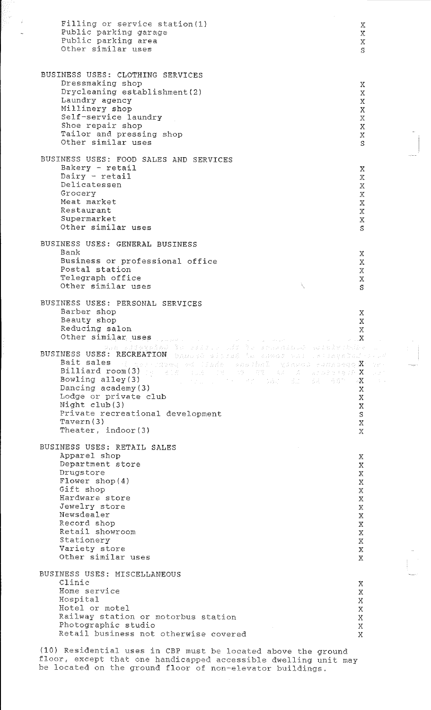Filling or service station(l) Public parking garage Public parking area Other similar uses BUSINESS USES: CLOTHING SERVICES Dressmaking shop Drycleaning establishment(2) Laundry agency Millinery shop Self-service laundry Shoe repair shop Tailor and pressing shop Other similar uses BUSINESS USES: FOOD SALES AND SERVICES Bakery - retail  $Dairy$  -  $reta$ Delicatessen Grocery Meat market Restaurant Supermarket Other similar uses BUSINESS USES: GENERAL BUSINESS Bank Business or professional office Postal station Telegraph office Other similar uses BUSINESS USES: PERSONAL SERVICES Barber shop Beauty shop Reducing salon Other similar uses BUSINESS USES: RECREATION Bait sales Billiard room(3) Bowling alley(3) Dancing academy(3) Lodge or private club Night club(3) Private recreational development Tavern(3) Theater, indoor(3) BUSINESS USES: RETAIL SALES Apparel shop Department store Drugstore Flower shop(4) Gift shop Hardware store Jewelry store Newsdealer Record shop Retail showroom Stationery Variety store Other similar uses BUSINESS USES: MISCELLANEOUS Clinic Home service Hospital Hotel or motel Railway station or motorbus station Photographic studio Retail business not otherwise covered (10) Residential uses in CBP must be located above the ground x  $\bar{\rm X}$ x s x x x x x x  $\overline{X}$ s x  $\mathbf X$ x  $\bar{X}$ x  $\boldsymbol{\mathrm{X}}$ x s x x  $\mathbb{X}$ x s  $\mathbf X$ x  $\frac{\mathbf{x}}{\mathbf{x}}$ x .<br>X x x x  $\boldsymbol{\mathsf{X}}$ x s x x x x  $\bar{X}$ x x x x x  $\mathbf{X}$ x x  $\mathbf{X}$ x  $\ensuremath{\textnormal{\textbf{X}}}$ x  $\bar{X}$ x  $\mathbf X$ x x

floor, except that one handicapped accessible dwelling unit may be located on the ground floor of non-elevator buildings.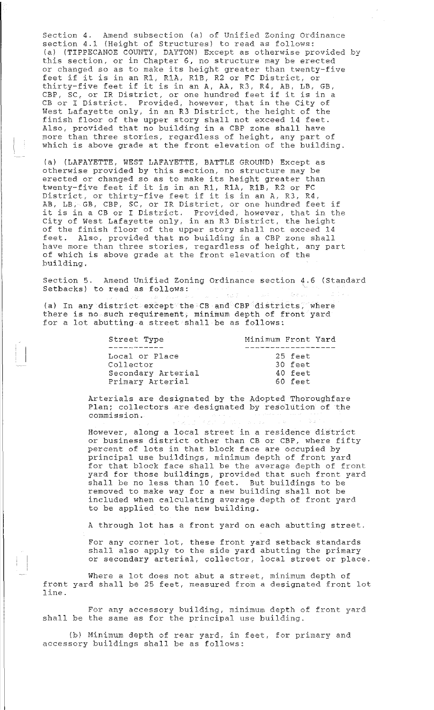Section 4. Amend subsection (a) of Unified Zoning Ordinance section 4.1 (Height of Structures) to read as follows: (a) (TIPPECANOE COUNTY, DAYTON) Except as otherwise provided by this section, or in Chapter 6, no structure may be erected or changed so as to make its height greater than twenty-five or changed so as to make its height greater than twenty.<br>feet if it is in an R1, R1A, R1B, R2 or FC District, or teet it it is in an K1, K1A, K1B, K2 or FC Discrict, or<br>thirty-five feet if it is in an A, AA, R3, R4, AB, LB, GB, CBP, SC, or IR District, or one hundred feet if it is in a CB or I District. Provided, however, that in the City of West Lafayette only, in an R3 District, the height of the finish floor of the upper story shall not exceed 14 feet. Also, provided that no building in a CBP zone shall have more than three stories, regardless of height, any part of which is above grade at the front elevation of the building.

(a) (LAFAYETTE, WEST LAFAYETTE, BATTLE GROUND) Except as otherwise provided by this section, no structure may be erected or changed so as to make its height greater than twenty-five feet if it is in an Rl, RlA, RlB, R2 or FC District, or thirty-five feet if it is in an A, R3, R4, bistrict, of thirty-rive reet if it is in an A, K3, K4,<br>AB, LB, GB, CBP, SC, or IR District, or one hundred feet if AB, LB, GB, CBP, SC, Or IR DIStrict, or one nunared feet if<br>it is in a CB or I District. Provided, however, that in the City of west Lafayette only, in an R3 District, the height of the finish floor of the upper story shall not exceed 14 feet. Also, provided that no building in a CBP zone shall have more than three stories, regardless of height, any part of which is above grade at the front elevation of the building.

Section 5. Amend Unified Zoning Ordinance section 4.6 (Standard Setbacks) to read as follows:

(a) In any district except the CB and CBP districts, where there is no such requirement, minimum depth of front yard for a lot abutting a street shall be as follows:

| Street Type        | Minimum Front Yard |           |  |
|--------------------|--------------------|-----------|--|
|                    |                    |           |  |
| Local or Place     |                    | 25 feet   |  |
| Collector          |                    | $30$ feet |  |
| Secondary Arterial |                    | $40$ feet |  |
| Primary Arterial   |                    | 60 feet   |  |

Arterials are designated by the Adopted Thoroughfare Plan; collectors are designated by resolution of the commission.

However, along a local street in a residence district or business district other than CB or CBP, where fifty percent of lots in that block face are occupied by principal use buildings, minimum depth of front yard for that block face shall be the average depth of front yard for those buildings, provided that such front yard shall be no less than 10 feet. But buildings to be removed to make way for a new building shall not be included when calculating average depth of front yard to be applied to the new building.

A through lot has a front yard on each abutting street.

For any corner lot, these front yard setback standards shall also apply to the side yard abutting the primary or secondary arterial, collector, local street or place.

Where a lot does not abut a street, minimum depth of front yard shall be 25 feet, measured from a designated front lot line.

For any accessory building, minimum depth of front yard shall be the same as for the principal use building.

(b) Minimum depth of rear yard, in feet, for primary and accessory buildings shall be as follows: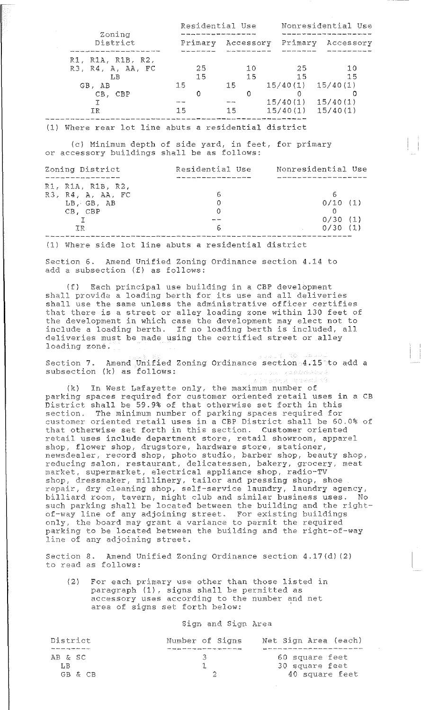| Zoning<br>District                           | Residential Use |                 |                      | Nonresidential Use   |
|----------------------------------------------|-----------------|-----------------|----------------------|----------------------|
|                                              | Primary         | Accessory       | Primary              | Accessory            |
| R1, R1A, R1B, R2,<br>R3, R4, A, AA, FC<br>LB | 25<br>15<br>15  | 1 O<br>15<br>15 | 25<br>15<br>15/40(1) | 10<br>15<br>15/40(1) |
| GB. AB<br>CB, CBP<br>ΤR                      | 15              | 15              | 15/40(1)<br>15/40(1) | 15/40(1)<br>15/40(1) |

(1) Where rear lot line abuts a residential district

(c) Minimum depth of side yard, in feet, for primary or accessory buildings shall be as follows:

| Zoning District                                                          | Residential Use | Nonresidential Use            |
|--------------------------------------------------------------------------|-----------------|-------------------------------|
| R1, R1A, R1B, R2,<br>R3, R4, A, AA, FC<br>LB GB, AB<br>$CB.$ $CBP$<br>TR | h               | 0/10(1)<br>0/30(1)<br>0/30(1) |

(1) Where side lot line abuts a residential district

Section 6. Amend Unified Zoning Ordinance section 4.14 to add a subsection (f) as follows:

(f) Each principal use building in a CBP develbpment shall provide a loading berth for its use and all deliveries shall use the same unless the administrative officer certifies that there is a street or alley loading zone within 130 feet of the development in which case the development may elect not to include a loading berth. If no loading berth is included, all deliveries must be made using the certified street or alley loading zone.

Section 7. Amend Unified Zoning Ordinance section 4.15 to add a subsection (k) as follows: subsection (k) as follows: Line and

(k) In West Lafayette only, the maximum number of parking spaces required for customer oriented retail uses in a CB District shall be 59.9% of that otherwise set forth in this section. The minimum number of parking spaces required for section: The minimum number of parking spaces required ror that otherwise set forth in this section. Customer oriented retail. uses include department store, retail showroom, apparel shop, flower shop, drugstore, hardware store, stationer, newsdealer, record shop, photo studio, barber shop, beauty shop, reducing salon, restaurant, delicatessen, bakery, grocery, meat market, supermarket, electrical appliance shop, radio-TV shop, dressmaker, millinery, tailor and pressing shop, shoe repair, dry cleaning shop, self-service laundry, laundry agency, billiard room, tavern, night club and similar business uses. No such parking shall be located between the building and the rightof-way line of any adjoining street. For existing buildings only, the board may grant a variance to permit the required parking to be located between the building and the right-of-way line of any adjoining street.

Section 8. Amend Unified Zoning Ordinance section 4.17(d) (2) to read as follows:

 $(2)$ For each primary use other than those listed in paragraph (1), signs shall be permitted as accessory uses according to the number and net area of signs set forth below:

Sign and Sign Area

| District        | Number of Signs | Net Sign Area (each) |
|-----------------|-----------------|----------------------|
|                 |                 |                      |
| AB & SC         |                 | 60 square feet       |
| I R             |                 | 30 square feet       |
| $G-B$ $\&$ $CB$ |                 | 40 square feet       |